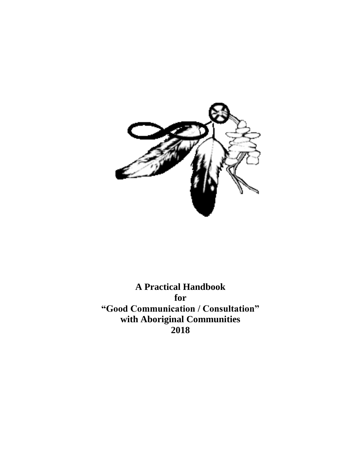

**A Practical Handbook for "Good Communication / Consultation" with Aboriginal Communities 2018**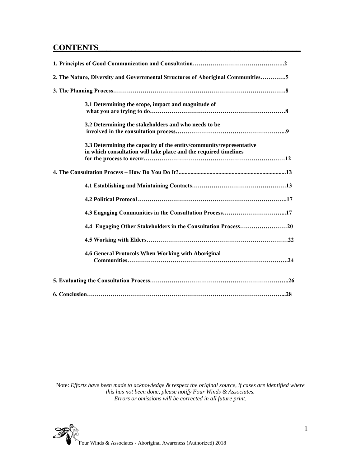# **CONTENTS\_\_\_\_\_\_\_\_\_\_\_\_\_\_\_\_\_\_\_\_\_\_\_\_\_\_\_\_\_\_\_\_\_\_\_\_\_\_\_\_\_\_\_\_\_\_\_\_\_**

| 2. The Nature, Diversity and Governmental Structures of Aboriginal Communities5                                                         |
|-----------------------------------------------------------------------------------------------------------------------------------------|
|                                                                                                                                         |
| 3.1 Determining the scope, impact and magnitude of                                                                                      |
| 3.2 Determining the stakeholders and who needs to be                                                                                    |
| 3.3 Determining the capacity of the entity/community/representative<br>in which consultation will take place and the required timelines |
|                                                                                                                                         |
|                                                                                                                                         |
|                                                                                                                                         |
| 4.3 Engaging Communities in the Consultation Process17                                                                                  |
| 4.4 Engaging Other Stakeholders in the Consultation Process20                                                                           |
|                                                                                                                                         |
| 4.6 General Protocols When Working with Aboriginal                                                                                      |
|                                                                                                                                         |
|                                                                                                                                         |

Note: *Efforts have been made to acknowledge & respect the original source, if cases are identified where this has not been done, please notify Four Winds & Associates. Errors or omissions will be corrected in all future print.*

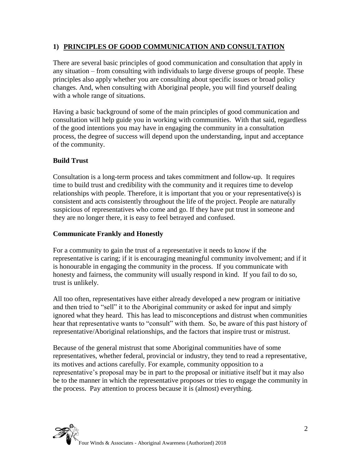## **1) PRINCIPLES OF GOOD COMMUNICATION AND CONSULTATION**

There are several basic principles of good communication and consultation that apply in any situation – from consulting with individuals to large diverse groups of people. These principles also apply whether you are consulting about specific issues or broad policy changes. And, when consulting with Aboriginal people, you will find yourself dealing with a whole range of situations.

Having a basic background of some of the main principles of good communication and consultation will help guide you in working with communities. With that said, regardless of the good intentions you may have in engaging the community in a consultation process, the degree of success will depend upon the understanding, input and acceptance of the community.

#### **Build Trust**

Consultation is a long-term process and takes commitment and follow-up. It requires time to build trust and credibility with the community and it requires time to develop relationships with people. Therefore, it is important that you or your representative(s) is consistent and acts consistently throughout the life of the project. People are naturally suspicious of representatives who come and go. If they have put trust in someone and they are no longer there, it is easy to feel betrayed and confused.

#### **Communicate Frankly and Honestly**

For a community to gain the trust of a representative it needs to know if the representative is caring; if it is encouraging meaningful community involvement; and if it is honourable in engaging the community in the process. If you communicate with honesty and fairness, the community will usually respond in kind. If you fail to do so, trust is unlikely.

All too often, representatives have either already developed a new program or initiative and then tried to "sell" it to the Aboriginal community or asked for input and simply ignored what they heard. This has lead to misconceptions and distrust when communities hear that representative wants to "consult" with them. So, be aware of this past history of representative/Aboriginal relationships, and the factors that inspire trust or mistrust.

Because of the general mistrust that some Aboriginal communities have of some representatives, whether federal, provincial or industry, they tend to read a representative, its motives and actions carefully. For example, community opposition to a representative's proposal may be in part to the proposal or initiative itself but it may also be to the manner in which the representative proposes or tries to engage the community in the process. Pay attention to process because it is (almost) everything.

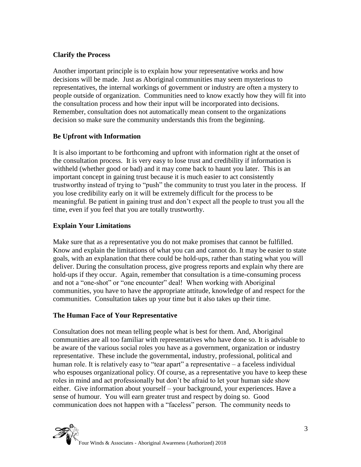#### **Clarify the Process**

Another important principle is to explain how your representative works and how decisions will be made. Just as Aboriginal communities may seem mysterious to representatives, the internal workings of government or industry are often a mystery to people outside of organization. Communities need to know exactly how they will fit into the consultation process and how their input will be incorporated into decisions. Remember, consultation does not automatically mean consent to the organizations decision so make sure the community understands this from the beginning.

## **Be Upfront with Information**

It is also important to be forthcoming and upfront with information right at the onset of the consultation process. It is very easy to lose trust and credibility if information is withheld (whether good or bad) and it may come back to haunt you later. This is an important concept in gaining trust because it is much easier to act consistently trustworthy instead of trying to "push" the community to trust you later in the process. If you lose credibility early on it will be extremely difficult for the process to be meaningful. Be patient in gaining trust and don't expect all the people to trust you all the time, even if you feel that you are totally trustworthy.

#### **Explain Your Limitations**

Make sure that as a representative you do not make promises that cannot be fulfilled. Know and explain the limitations of what you can and cannot do. It may be easier to state goals, with an explanation that there could be hold-ups, rather than stating what you will deliver. During the consultation process, give progress reports and explain why there are hold-ups if they occur. Again, remember that consultation is a time-consuming process and not a "one-shot" or "one encounter" deal! When working with Aboriginal communities, you have to have the appropriate attitude, knowledge of and respect for the communities. Consultation takes up your time but it also takes up their time.

#### **The Human Face of Your Representative**

Consultation does not mean telling people what is best for them. And, Aboriginal communities are all too familiar with representatives who have done so. It is advisable to be aware of the various social roles you have as a government, organization or industry representative. These include the governmental, industry, professional, political and human role. It is relatively easy to "tear apart" a representative – a faceless individual who espouses organizational policy. Of course, as a representative you have to keep these roles in mind and act professionally but don't be afraid to let your human side show either. Give information about yourself – your background, your experiences. Have a sense of humour. You will earn greater trust and respect by doing so. Good communication does not happen with a "faceless" person. The community needs to

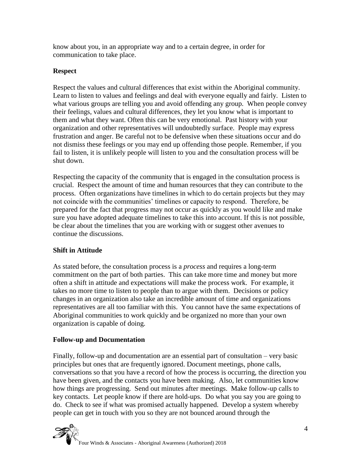know about you, in an appropriate way and to a certain degree, in order for communication to take place.

#### **Respect**

Respect the values and cultural differences that exist within the Aboriginal community. Learn to listen to values and feelings and deal with everyone equally and fairly. Listen to what various groups are telling you and avoid offending any group. When people convey their feelings, values and cultural differences, they let you know what is important to them and what they want. Often this can be very emotional. Past history with your organization and other representatives will undoubtedly surface. People may express frustration and anger. Be careful not to be defensive when these situations occur and do not dismiss these feelings or you may end up offending those people. Remember, if you fail to listen, it is unlikely people will listen to you and the consultation process will be shut down.

Respecting the capacity of the community that is engaged in the consultation process is crucial. Respect the amount of time and human resources that they can contribute to the process. Often organizations have timelines in which to do certain projects but they may not coincide with the communities' timelines or capacity to respond. Therefore, be prepared for the fact that progress may not occur as quickly as you would like and make sure you have adopted adequate timelines to take this into account. If this is not possible, be clear about the timelines that you are working with or suggest other avenues to continue the discussions.

## **Shift in Attitude**

As stated before, the consultation process is a *process* and requires a long-term commitment on the part of both parties. This can take more time and money but more often a shift in attitude and expectations will make the process work. For example, it takes no more time to listen to people than to argue with them. Decisions or policy changes in an organization also take an incredible amount of time and organizations representatives are all too familiar with this. You cannot have the same expectations of Aboriginal communities to work quickly and be organized no more than your own organization is capable of doing.

#### **Follow-up and Documentation**

Finally, follow-up and documentation are an essential part of consultation – very basic principles but ones that are frequently ignored. Document meetings, phone calls, conversations so that you have a record of how the process is occurring, the direction you have been given, and the contacts you have been making. Also, let communities know how things are progressing. Send out minutes after meetings. Make follow-up calls to key contacts. Let people know if there are hold-ups. Do what you say you are going to do. Check to see if what was promised actually happened. Develop a system whereby people can get in touch with you so they are not bounced around through the

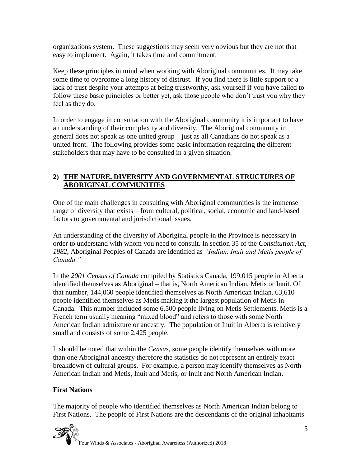organizations system. These suggestions may seem very obvious but they are not that easy to implement. Again, it takes time and commitment.

Keep these principles in mind when working with Aboriginal communities. It may take some time to overcome a long history of distrust. If you find there is little support or a lack of trust despite your attempts at being trustworthy, ask yourself if you have failed to follow these basic principles or better yet, ask those people who don't trust you why they feel as they do.

In order to engage in consultation with the Aboriginal community it is important to have an understanding of their complexity and diversity. The Aboriginal community in general does not speak as one united group – just as all Canadians do not speak as a united front. The following provides some basic information regarding the different stakeholders that may have to be consulted in a given situation.

## **2) THE NATURE, DIVERSITY AND GOVERNMENTAL STRUCTURES OF ABORIGINAL COMMUNITIES**

One of the main challenges in consulting with Aboriginal communities is the immense range of diversity that exists – from cultural, political, social, economic and land-based factors to governmental and jurisdictional issues.

An understanding of the diversity of Aboriginal people in the Province is necessary in order to understand with whom you need to consult. In section 35 of the *Constitution Act*, *1982*, Aboriginal Peoples of Canada are identified as *"Indian, Inuit and Metis people of Canada."* 

In the *2001 Census of Canada* compiled by Statistics Canada, 199,015 people in Alberta identified themselves as Aboriginal – that is, North American Indian, Metis or Inuit. Of that number, 144,060 people identified themselves as North American Indian. 63,610 people identified themselves as Metis making it the largest population of Metis in Canada. This number included some 6,500 people living on Metis Settlements. Metis is a French term usually meaning "mixed blood" and refers to those with some North American Indian admixture or ancestry. The population of Inuit in Alberta is relatively small and consists of some 2,425 people.

It should be noted that within the *Census*, some people identify themselves with more than one Aboriginal ancestry therefore the statistics do not represent an entirely exact breakdown of cultural groups. For example, a person may identify themselves as North American Indian and Metis, Inuit and Metis, or Inuit and North American Indian.

#### **First Nations**

The majority of people who identified themselves as North American Indian belong to First Nations. The people of First Nations are the descendants of the original inhabitants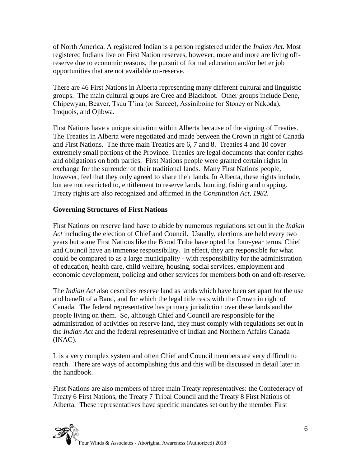of North America. A registered Indian is a person registered under the *Indian Act.* Most registered Indians live on First Nation reserves, however, more and more are living offreserve due to economic reasons, the pursuit of formal education and/or better job opportunities that are not available on-reserve.

There are 46 First Nations in Alberta representing many different cultural and linguistic groups. The main cultural groups are Cree and Blackfoot. Other groups include Dene, Chipewyan, Beaver, Tsuu T'ina (or Sarcee), Assiniboine (or Stoney or Nakoda), Iroquois, and Ojibwa.

First Nations have a unique situation within Alberta because of the signing of Treaties. The Treaties in Alberta were negotiated and made between the Crown in right of Canada and First Nations. The three main Treaties are 6, 7 and 8. Treaties 4 and 10 cover extremely small portions of the Province. Treaties are legal documents that confer rights and obligations on both parties. First Nations people were granted certain rights in exchange for the surrender of their traditional lands. Many First Nations people, however, feel that they only agreed to share their lands. In Alberta, these rights include, but are not restricted to, entitlement to reserve lands, hunting, fishing and trapping. Treaty rights are also recognized and affirmed in the *Constitution Act, 1982.*

#### **Governing Structures of First Nations**

First Nations on reserve land have to abide by numerous regulations set out in the *Indian Act* including the election of Chief and Council. Usually, elections are held every two years but some First Nations like the Blood Tribe have opted for four-year terms. Chief and Council have an immense responsibility. In effect, they are responsible for what could be compared to as a large municipality - with responsibility for the administration of education, health care, child welfare, housing, social services, employment and economic development, policing and other services for members both on and off-reserve.

The *Indian Act* also describes reserve land as lands which have been set apart for the use and benefit of a Band, and for which the legal title rests with the Crown in right of Canada. The federal representative has primary jurisdiction over these lands and the people living on them. So, although Chief and Council are responsible for the administration of activities on reserve land, they must comply with regulations set out in the *Indian Act* and the federal representative of Indian and Northern Affairs Canada (INAC).

It is a very complex system and often Chief and Council members are very difficult to reach. There are ways of accomplishing this and this will be discussed in detail later in the handbook.

First Nations are also members of three main Treaty representatives: the Confederacy of Treaty 6 First Nations, the Treaty 7 Tribal Council and the Treaty 8 First Nations of Alberta. These representatives have specific mandates set out by the member First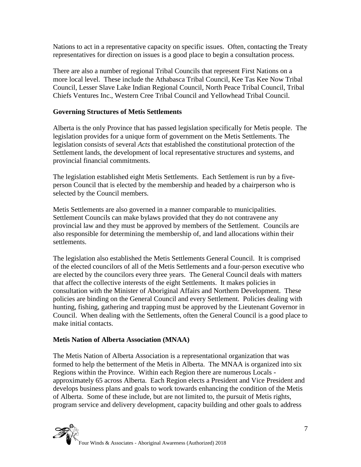Nations to act in a representative capacity on specific issues. Often, contacting the Treaty representatives for direction on issues is a good place to begin a consultation process.

There are also a number of regional Tribal Councils that represent First Nations on a more local level. These include the Athabasca Tribal Council, Kee Tas Kee Now Tribal Council, Lesser Slave Lake Indian Regional Council, North Peace Tribal Council, Tribal Chiefs Ventures Inc., Western Cree Tribal Council and Yellowhead Tribal Council.

#### **Governing Structures of Metis Settlements**

Alberta is the only Province that has passed legislation specifically for Metis people. The legislation provides for a unique form of government on the Metis Settlements. The legislation consists of several *Acts* that established the constitutional protection of the Settlement lands, the development of local representative structures and systems, and provincial financial commitments.

The legislation established eight Metis Settlements. Each Settlement is run by a fiveperson Council that is elected by the membership and headed by a chairperson who is selected by the Council members.

Metis Settlements are also governed in a manner comparable to municipalities. Settlement Councils can make bylaws provided that they do not contravene any provincial law and they must be approved by members of the Settlement. Councils are also responsible for determining the membership of, and land allocations within their settlements.

The legislation also established the Metis Settlements General Council. It is comprised of the elected councilors of all of the Metis Settlements and a four-person executive who are elected by the councilors every three years. The General Council deals with matters that affect the collective interests of the eight Settlements. It makes policies in consultation with the Minister of Aboriginal Affairs and Northern Development. These policies are binding on the General Council and every Settlement. Policies dealing with hunting, fishing, gathering and trapping must be approved by the Lieutenant Governor in Council. When dealing with the Settlements, often the General Council is a good place to make initial contacts.

#### **Metis Nation of Alberta Association (MNAA)**

The Metis Nation of Alberta Association is a representational organization that was formed to help the betterment of the Metis in Alberta. The MNAA is organized into six Regions within the Province. Within each Region there are numerous Locals approximately 65 across Alberta. Each Region elects a President and Vice President and develops business plans and goals to work towards enhancing the condition of the Metis of Alberta. Some of these include, but are not limited to, the pursuit of Metis rights, program service and delivery development, capacity building and other goals to address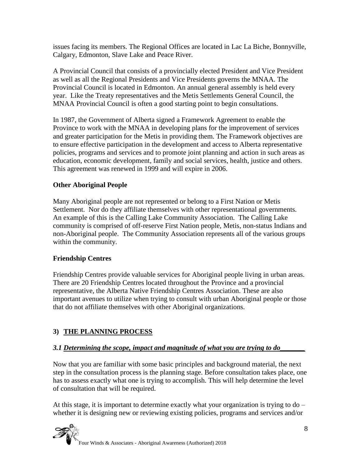issues facing its members. The Regional Offices are located in Lac La Biche, Bonnyville, Calgary, Edmonton, Slave Lake and Peace River.

A Provincial Council that consists of a provincially elected President and Vice President as well as all the Regional Presidents and Vice Presidents governs the MNAA. The Provincial Council is located in Edmonton. An annual general assembly is held every year. Like the Treaty representatives and the Metis Settlements General Council, the MNAA Provincial Council is often a good starting point to begin consultations.

In 1987, the Government of Alberta signed a Framework Agreement to enable the Province to work with the MNAA in developing plans for the improvement of services and greater participation for the Metis in providing them. The Framework objectives are to ensure effective participation in the development and access to Alberta representative policies, programs and services and to promote joint planning and action in such areas as education, economic development, family and social services, health, justice and others. This agreement was renewed in 1999 and will expire in 2006.

## **Other Aboriginal People**

Many Aboriginal people are not represented or belong to a First Nation or Metis Settlement. Nor do they affiliate themselves with other representational governments. An example of this is the Calling Lake Community Association. The Calling Lake community is comprised of off-reserve First Nation people, Metis, non-status Indians and non-Aboriginal people. The Community Association represents all of the various groups within the community.

#### **Friendship Centres**

Friendship Centres provide valuable services for Aboriginal people living in urban areas. There are 20 Friendship Centres located throughout the Province and a provincial representative, the Alberta Native Friendship Centres Association. These are also important avenues to utilize when trying to consult with urban Aboriginal people or those that do not affiliate themselves with other Aboriginal organizations.

## **3) THE PLANNING PROCESS**

#### *3.1 Determining the scope, impact and magnitude of what you are trying to do\_\_\_\_\_\_\_*

Now that you are familiar with some basic principles and background material, the next step in the consultation process is the planning stage. Before consultation takes place, one has to assess exactly what one is trying to accomplish. This will help determine the level of consultation that will be required.

At this stage, it is important to determine exactly what your organization is trying to do – whether it is designing new or reviewing existing policies, programs and services and/or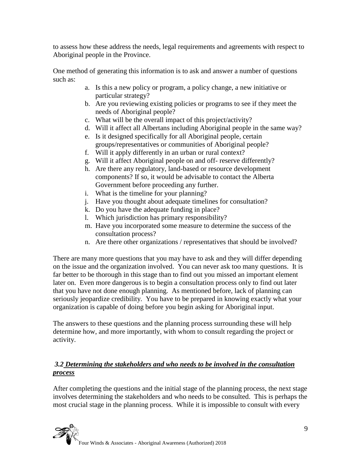to assess how these address the needs, legal requirements and agreements with respect to Aboriginal people in the Province.

One method of generating this information is to ask and answer a number of questions such as:

- a. Is this a new policy or program, a policy change, a new initiative or particular strategy?
- b. Are you reviewing existing policies or programs to see if they meet the needs of Aboriginal people?
- c. What will be the overall impact of this project/activity?
- d. Will it affect all Albertans including Aboriginal people in the same way?
- e. Is it designed specifically for all Aboriginal people, certain groups/representatives or communities of Aboriginal people?
- f. Will it apply differently in an urban or rural context?
- g. Will it affect Aboriginal people on and off- reserve differently?
- h. Are there any regulatory, land-based or resource development components? If so, it would be advisable to contact the Alberta Government before proceeding any further.
- i. What is the timeline for your planning?
- j. Have you thought about adequate timelines for consultation?
- k. Do you have the adequate funding in place?
- l. Which jurisdiction has primary responsibility?
- m. Have you incorporated some measure to determine the success of the consultation process?
- n. Are there other organizations / representatives that should be involved?

There are many more questions that you may have to ask and they will differ depending on the issue and the organization involved. You can never ask too many questions. It is far better to be thorough in this stage than to find out you missed an important element later on. Even more dangerous is to begin a consultation process only to find out later that you have not done enough planning. As mentioned before, lack of planning can seriously jeopardize credibility. You have to be prepared in knowing exactly what your organization is capable of doing before you begin asking for Aboriginal input.

The answers to these questions and the planning process surrounding these will help determine how, and more importantly, with whom to consult regarding the project or activity.

## *3.2 Determining the stakeholders and who needs to be involved in the consultation process*

After completing the questions and the initial stage of the planning process, the next stage involves determining the stakeholders and who needs to be consulted. This is perhaps the most crucial stage in the planning process. While it is impossible to consult with every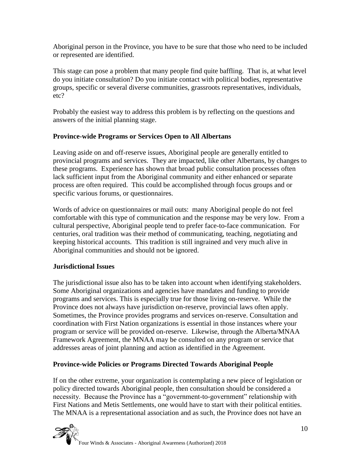Aboriginal person in the Province, you have to be sure that those who need to be included or represented are identified.

This stage can pose a problem that many people find quite baffling. That is, at what level do you initiate consultation? Do you initiate contact with political bodies, representative groups, specific or several diverse communities, grassroots representatives, individuals, etc?

Probably the easiest way to address this problem is by reflecting on the questions and answers of the initial planning stage.

#### **Province-wide Programs or Services Open to All Albertans**

Leaving aside on and off-reserve issues, Aboriginal people are generally entitled to provincial programs and services. They are impacted, like other Albertans, by changes to these programs. Experience has shown that broad public consultation processes often lack sufficient input from the Aboriginal community and either enhanced or separate process are often required. This could be accomplished through focus groups and or specific various forums, or questionnaires.

Words of advice on questionnaires or mail outs: many Aboriginal people do not feel comfortable with this type of communication and the response may be very low. From a cultural perspective, Aboriginal people tend to prefer face-to-face communication. For centuries, oral tradition was their method of communicating, teaching, negotiating and keeping historical accounts. This tradition is still ingrained and very much alive in Aboriginal communities and should not be ignored.

#### **Jurisdictional Issues**

The jurisdictional issue also has to be taken into account when identifying stakeholders. Some Aboriginal organizations and agencies have mandates and funding to provide programs and services. This is especially true for those living on-reserve. While the Province does not always have jurisdiction on-reserve, provincial laws often apply. Sometimes, the Province provides programs and services on-reserve. Consultation and coordination with First Nation organizations is essential in those instances where your program or service will be provided on-reserve. Likewise, through the Alberta/MNAA Framework Agreement, the MNAA may be consulted on any program or service that addresses areas of joint planning and action as identified in the Agreement.

#### **Province-wide Policies or Programs Directed Towards Aboriginal People**

If on the other extreme, your organization is contemplating a new piece of legislation or policy directed towards Aboriginal people, then consultation should be considered a necessity. Because the Province has a "government-to-government" relationship with First Nations and Metis Settlements, one would have to start with their political entities. The MNAA is a representational association and as such, the Province does not have an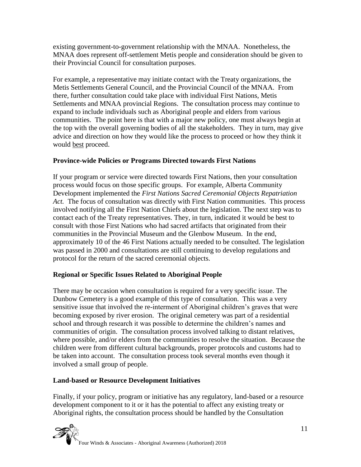existing government-to-government relationship with the MNAA. Nonetheless, the MNAA does represent off-settlement Metis people and consideration should be given to their Provincial Council for consultation purposes.

For example, a representative may initiate contact with the Treaty organizations, the Metis Settlements General Council, and the Provincial Council of the MNAA. From there, further consultation could take place with individual First Nations, Metis Settlements and MNAA provincial Regions. The consultation process may continue to expand to include individuals such as Aboriginal people and elders from various communities. The point here is that with a major new policy, one must always begin at the top with the overall governing bodies of all the stakeholders. They in turn, may give advice and direction on how they would like the process to proceed or how they think it would best proceed.

## **Province-wide Policies or Programs Directed towards First Nations**

If your program or service were directed towards First Nations, then your consultation process would focus on those specific groups. For example, Alberta Community Development implemented the *First Nations Sacred Ceremonial Objects Repatriation*  Act. The focus of consultation was directly with First Nation communities. This process involved notifying all the First Nation Chiefs about the legislation. The next step was to contact each of the Treaty representatives. They, in turn, indicated it would be best to consult with those First Nations who had sacred artifacts that originated from their communities in the Provincial Museum and the Glenbow Museum. In the end, approximately 10 of the 46 First Nations actually needed to be consulted. The legislation was passed in 2000 and consultations are still continuing to develop regulations and protocol for the return of the sacred ceremonial objects.

## **Regional or Specific Issues Related to Aboriginal People**

There may be occasion when consultation is required for a very specific issue. The Dunbow Cemetery is a good example of this type of consultation. This was a very sensitive issue that involved the re-interment of Aboriginal children's graves that were becoming exposed by river erosion. The original cemetery was part of a residential school and through research it was possible to determine the children's names and communities of origin. The consultation process involved talking to distant relatives, where possible, and/or elders from the communities to resolve the situation. Because the children were from different cultural backgrounds, proper protocols and customs had to be taken into account. The consultation process took several months even though it involved a small group of people.

## **Land-based or Resource Development Initiatives**

Finally, if your policy, program or initiative has any regulatory, land-based or a resource development component to it or it has the potential to affect any existing treaty or Aboriginal rights, the consultation process should be handled by the Consultation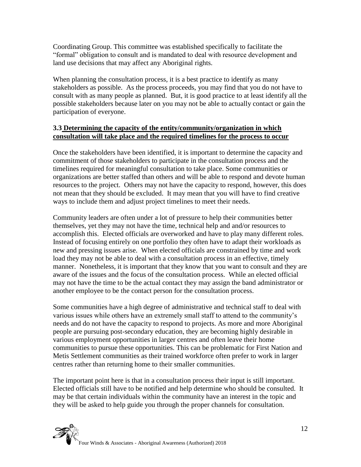Coordinating Group. This committee was established specifically to facilitate the "formal" obligation to consult and is mandated to deal with resource development and land use decisions that may affect any Aboriginal rights.

When planning the consultation process, it is a best practice to identify as many stakeholders as possible. As the process proceeds, you may find that you do not have to consult with as many people as planned. But, it is good practice to at least identify all the possible stakeholders because later on you may not be able to actually contact or gain the participation of everyone.

#### **3.3 Determining the capacity of the entity/community/organization in which consultation will take place and the required timelines for the process to occur**

Once the stakeholders have been identified, it is important to determine the capacity and commitment of those stakeholders to participate in the consultation process and the timelines required for meaningful consultation to take place. Some communities or organizations are better staffed than others and will be able to respond and devote human resources to the project. Others may not have the capacity to respond, however, this does not mean that they should be excluded. It may mean that you will have to find creative ways to include them and adjust project timelines to meet their needs.

Community leaders are often under a lot of pressure to help their communities better themselves, yet they may not have the time, technical help and and/or resources to accomplish this. Elected officials are overworked and have to play many different roles. Instead of focusing entirely on one portfolio they often have to adapt their workloads as new and pressing issues arise. When elected officials are constrained by time and work load they may not be able to deal with a consultation process in an effective, timely manner. Nonetheless, it is important that they know that you want to consult and they are aware of the issues and the focus of the consultation process. While an elected official may not have the time to be the actual contact they may assign the band administrator or another employee to be the contact person for the consultation process.

Some communities have a high degree of administrative and technical staff to deal with various issues while others have an extremely small staff to attend to the community's needs and do not have the capacity to respond to projects. As more and more Aboriginal people are pursuing post-secondary education, they are becoming highly desirable in various employment opportunities in larger centres and often leave their home communities to pursue these opportunities. This can be problematic for First Nation and Metis Settlement communities as their trained workforce often prefer to work in larger centres rather than returning home to their smaller communities.

The important point here is that in a consultation process their input is still important. Elected officials still have to be notified and help determine who should be consulted. It may be that certain individuals within the community have an interest in the topic and they will be asked to help guide you through the proper channels for consultation.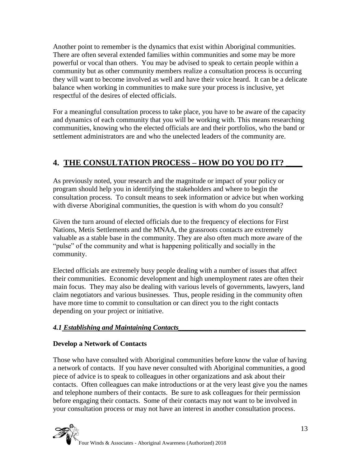Another point to remember is the dynamics that exist within Aboriginal communities. There are often several extended families within communities and some may be more powerful or vocal than others. You may be advised to speak to certain people within a community but as other community members realize a consultation process is occurring they will want to become involved as well and have their voice heard. It can be a delicate balance when working in communities to make sure your process is inclusive, yet respectful of the desires of elected officials.

For a meaningful consultation process to take place, you have to be aware of the capacity and dynamics of each community that you will be working with. This means researching communities, knowing who the elected officials are and their portfolios, who the band or settlement administrators are and who the unelected leaders of the community are.

# **4. THE CONSULTATION PROCESS – HOW DO YOU DO IT? \_\_\_\_**

As previously noted, your research and the magnitude or impact of your policy or program should help you in identifying the stakeholders and where to begin the consultation process. To consult means to seek information or advice but when working with diverse Aboriginal communities, the question is with whom do you consult?

Given the turn around of elected officials due to the frequency of elections for First Nations, Metis Settlements and the MNAA, the grassroots contacts are extremely valuable as a stable base in the community. They are also often much more aware of the "pulse" of the community and what is happening politically and socially in the community.

Elected officials are extremely busy people dealing with a number of issues that affect their communities. Economic development and high unemployment rates are often their main focus. They may also be dealing with various levels of governments, lawyers, land claim negotiators and various businesses. Thus, people residing in the community often have more time to commit to consultation or can direct you to the right contacts depending on your project or initiative.

## *4.1 Establishing and Maintaining Contacts\_\_\_\_\_\_\_\_\_\_\_\_\_\_\_\_\_\_\_\_\_\_\_\_\_\_\_\_\_\_\_\_\_\_\_\_*

## **Develop a Network of Contacts**

Those who have consulted with Aboriginal communities before know the value of having a network of contacts. If you have never consulted with Aboriginal communities, a good piece of advice is to speak to colleagues in other organizations and ask about their contacts. Often colleagues can make introductions or at the very least give you the names and telephone numbers of their contacts. Be sure to ask colleagues for their permission before engaging their contacts. Some of their contacts may not want to be involved in your consultation process or may not have an interest in another consultation process.

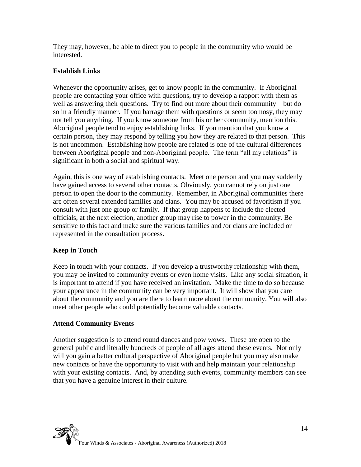They may, however, be able to direct you to people in the community who would be interested.

#### **Establish Links**

Whenever the opportunity arises, get to know people in the community. If Aboriginal people are contacting your office with questions, try to develop a rapport with them as well as answering their questions. Try to find out more about their community – but do so in a friendly manner. If you barrage them with questions or seem too nosy, they may not tell you anything. If you know someone from his or her community, mention this. Aboriginal people tend to enjoy establishing links. If you mention that you know a certain person, they may respond by telling you how they are related to that person. This is not uncommon. Establishing how people are related is one of the cultural differences between Aboriginal people and non-Aboriginal people. The term "all my relations" is significant in both a social and spiritual way.

Again, this is one way of establishing contacts. Meet one person and you may suddenly have gained access to several other contacts. Obviously, you cannot rely on just one person to open the door to the community. Remember, in Aboriginal communities there are often several extended families and clans. You may be accused of favoritism if you consult with just one group or family. If that group happens to include the elected officials, at the next election, another group may rise to power in the community. Be sensitive to this fact and make sure the various families and /or clans are included or represented in the consultation process.

## **Keep in Touch**

Keep in touch with your contacts. If you develop a trustworthy relationship with them, you may be invited to community events or even home visits. Like any social situation, it is important to attend if you have received an invitation. Make the time to do so because your appearance in the community can be very important. It will show that you care about the community and you are there to learn more about the community. You will also meet other people who could potentially become valuable contacts.

#### **Attend Community Events**

Another suggestion is to attend round dances and pow wows. These are open to the general public and literally hundreds of people of all ages attend these events. Not only will you gain a better cultural perspective of Aboriginal people but you may also make new contacts or have the opportunity to visit with and help maintain your relationship with your existing contacts. And, by attending such events, community members can see that you have a genuine interest in their culture.

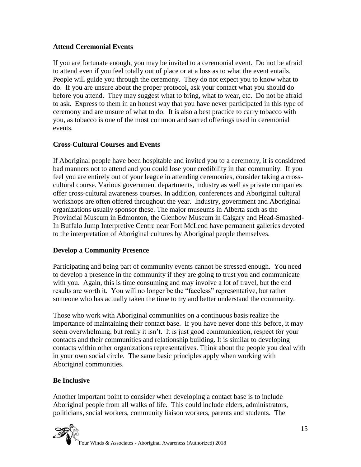### **Attend Ceremonial Events**

If you are fortunate enough, you may be invited to a ceremonial event. Do not be afraid to attend even if you feel totally out of place or at a loss as to what the event entails. People will guide you through the ceremony. They do not expect you to know what to do. If you are unsure about the proper protocol, ask your contact what you should do before you attend. They may suggest what to bring, what to wear, etc. Do not be afraid to ask. Express to them in an honest way that you have never participated in this type of ceremony and are unsure of what to do. It is also a best practice to carry tobacco with you, as tobacco is one of the most common and sacred offerings used in ceremonial events.

#### **Cross-Cultural Courses and Events**

If Aboriginal people have been hospitable and invited you to a ceremony, it is considered bad manners not to attend and you could lose your credibility in that community. If you feel you are entirely out of your league in attending ceremonies, consider taking a crosscultural course. Various government departments, industry as well as private companies offer cross-cultural awareness courses. In addition, conferences and Aboriginal cultural workshops are often offered throughout the year. Industry, government and Aboriginal organizations usually sponsor these. The major museums in Alberta such as the Provincial Museum in Edmonton, the Glenbow Museum in Calgary and Head-Smashed-In Buffalo Jump Interpretive Centre near Fort McLeod have permanent galleries devoted to the interpretation of Aboriginal cultures by Aboriginal people themselves.

## **Develop a Community Presence**

Participating and being part of community events cannot be stressed enough. You need to develop a presence in the community if they are going to trust you and communicate with you. Again, this is time consuming and may involve a lot of travel, but the end results are worth it. You will no longer be the "faceless" representative, but rather someone who has actually taken the time to try and better understand the community.

Those who work with Aboriginal communities on a continuous basis realize the importance of maintaining their contact base. If you have never done this before, it may seem overwhelming, but really it isn't. It is just good communication, respect for your contacts and their communities and relationship building. It is similar to developing contacts within other organizations representatives. Think about the people you deal with in your own social circle. The same basic principles apply when working with Aboriginal communities.

## **Be Inclusive**

Another important point to consider when developing a contact base is to include Aboriginal people from all walks of life. This could include elders, administrators, politicians, social workers, community liaison workers, parents and students. The



Four Winds & Associates - Aboriginal Awareness (Authorized) 2018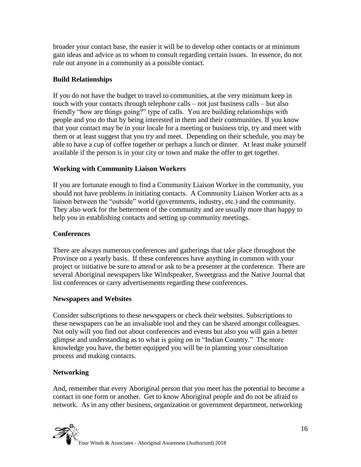broader your contact base, the easier it will be to develop other contacts or at minimum gain ideas and advice as to whom to consult regarding certain issues. In essence, do not rule out anyone in a community as a possible contact.

#### **Build Relationships**

If you do not have the budget to travel to communities, at the very minimum keep in touch with your contacts through telephone calls – not just business calls – but also friendly "how are things going?" type of calls. You are building relationships with people and you do that by being interested in them and their communities. If you know that your contact may be in your locale for a meeting or business trip, try and meet with them or at least suggest that you try and meet. Depending on their schedule, you may be able to have a cup of coffee together or perhaps a lunch or dinner. At least make yourself available if the person is in your city or town and make the offer to get together.

#### **Working with Community Liaison Workers**

If you are fortunate enough to find a Community Liaison Worker in the community, you should not have problems in initiating contacts. A Community Liaison Worker acts as a liaison between the "outside" world (governments, industry, etc.) and the community. They also work for the betterment of the community and are usually more than happy to help you in establishing contacts and setting up community meetings.

#### **Conferences**

There are always numerous conferences and gatherings that take place throughout the Province on a yearly basis. If these conferences have anything in common with your project or initiative be sure to attend or ask to be a presenter at the conference. There are several Aboriginal newspapers like Windspeaker, Sweetgrass and the Native Journal that list conferences or carry advertisements regarding these conferences.

#### **Newspapers and Websites**

Consider subscriptions to these newspapers or check their websites. Subscriptions to these newspapers can be an invaluable tool and they can be shared amongst colleagues. Not only will you find out about conferences and events but also you will gain a better glimpse and understanding as to what is going on in "Indian Country." The more knowledge you have, the better equipped you will be in planning your consultation process and making contacts.

## **Networking**

And, remember that every Aboriginal person that you meet has the potential to become a contact in one form or another. Get to know Aboriginal people and do not be afraid to network. As in any other business, organization or government department, networking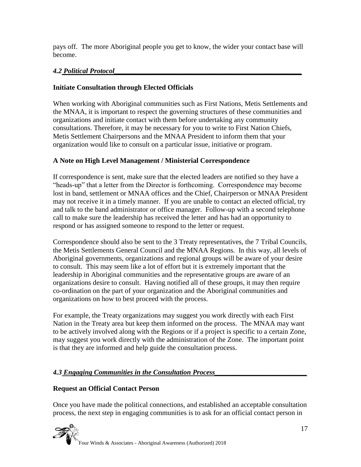pays off. The more Aboriginal people you get to know, the wider your contact base will become.

## *4.2 Political Protocol\_\_\_\_\_\_\_\_\_\_\_\_\_\_\_\_\_\_\_\_\_\_\_\_\_\_\_\_\_\_\_\_\_\_\_\_\_\_\_\_\_\_\_\_\_\_\_\_\_\_\_\_\_*

## **Initiate Consultation through Elected Officials**

When working with Aboriginal communities such as First Nations, Metis Settlements and the MNAA, it is important to respect the governing structures of these communities and organizations and initiate contact with them before undertaking any community consultations. Therefore, it may be necessary for you to write to First Nation Chiefs, Metis Settlement Chairpersons and the MNAA President to inform them that your organization would like to consult on a particular issue, initiative or program.

## **A Note on High Level Management / Ministerial Correspondence**

If correspondence is sent, make sure that the elected leaders are notified so they have a "heads-up" that a letter from the Director is forthcoming. Correspondence may become lost in band, settlement or MNAA offices and the Chief, Chairperson or MNAA President may not receive it in a timely manner. If you are unable to contact an elected official, try and talk to the band administrator or office manager. Follow-up with a second telephone call to make sure the leadership has received the letter and has had an opportunity to respond or has assigned someone to respond to the letter or request.

Correspondence should also be sent to the 3 Treaty representatives, the 7 Tribal Councils, the Metis Settlements General Council and the MNAA Regions. In this way, all levels of Aboriginal governments, organizations and regional groups will be aware of your desire to consult. This may seem like a lot of effort but it is extremely important that the leadership in Aboriginal communities and the representative groups are aware of an organizations desire to consult. Having notified all of these groups, it may then require co-ordination on the part of your organization and the Aboriginal communities and organizations on how to best proceed with the process.

For example, the Treaty organizations may suggest you work directly with each First Nation in the Treaty area but keep them informed on the process. The MNAA may want to be actively involved along with the Regions or if a project is specific to a certain Zone, may suggest you work directly with the administration of the Zone. The important point is that they are informed and help guide the consultation process.

## *4.3 Engaging Communities in the Consultation Process\_\_\_\_\_\_\_\_\_\_\_\_\_\_\_\_\_\_\_\_\_\_\_\_\_\_*

## **Request an Official Contact Person**

Once you have made the political connections, and established an acceptable consultation process, the next step in engaging communities is to ask for an official contact person in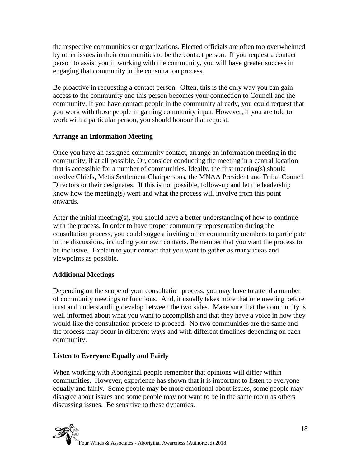the respective communities or organizations. Elected officials are often too overwhelmed by other issues in their communities to be the contact person. If you request a contact person to assist you in working with the community, you will have greater success in engaging that community in the consultation process.

Be proactive in requesting a contact person. Often, this is the only way you can gain access to the community and this person becomes your connection to Council and the community. If you have contact people in the community already, you could request that you work with those people in gaining community input. However, if you are told to work with a particular person, you should honour that request.

## **Arrange an Information Meeting**

Once you have an assigned community contact, arrange an information meeting in the community, if at all possible. Or, consider conducting the meeting in a central location that is accessible for a number of communities. Ideally, the first meeting(s) should involve Chiefs, Metis Settlement Chairpersons, the MNAA President and Tribal Council Directors or their designates. If this is not possible, follow-up and let the leadership know how the meeting(s) went and what the process will involve from this point onwards.

After the initial meeting(s), you should have a better understanding of how to continue with the process. In order to have proper community representation during the consultation process, you could suggest inviting other community members to participate in the discussions, including your own contacts. Remember that you want the process to be inclusive. Explain to your contact that you want to gather as many ideas and viewpoints as possible.

## **Additional Meetings**

Depending on the scope of your consultation process, you may have to attend a number of community meetings or functions. And, it usually takes more that one meeting before trust and understanding develop between the two sides. Make sure that the community is well informed about what you want to accomplish and that they have a voice in how they would like the consultation process to proceed. No two communities are the same and the process may occur in different ways and with different timelines depending on each community.

#### **Listen to Everyone Equally and Fairly**

When working with Aboriginal people remember that opinions will differ within communities. However, experience has shown that it is important to listen to everyone equally and fairly. Some people may be more emotional about issues, some people may disagree about issues and some people may not want to be in the same room as others discussing issues. Be sensitive to these dynamics.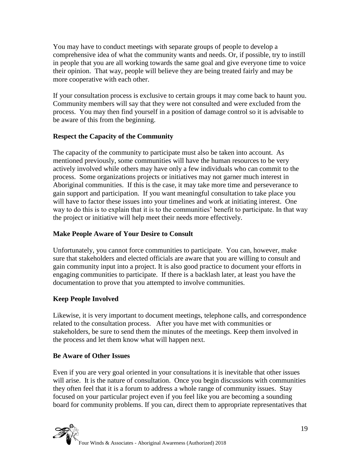You may have to conduct meetings with separate groups of people to develop a comprehensive idea of what the community wants and needs. Or, if possible, try to instill in people that you are all working towards the same goal and give everyone time to voice their opinion. That way, people will believe they are being treated fairly and may be more cooperative with each other.

If your consultation process is exclusive to certain groups it may come back to haunt you. Community members will say that they were not consulted and were excluded from the process. You may then find yourself in a position of damage control so it is advisable to be aware of this from the beginning.

## **Respect the Capacity of the Community**

The capacity of the community to participate must also be taken into account. As mentioned previously, some communities will have the human resources to be very actively involved while others may have only a few individuals who can commit to the process. Some organizations projects or initiatives may not garner much interest in Aboriginal communities. If this is the case, it may take more time and perseverance to gain support and participation. If you want meaningful consultation to take place you will have to factor these issues into your timelines and work at initiating interest. One way to do this is to explain that it is to the communities' benefit to participate. In that way the project or initiative will help meet their needs more effectively.

## **Make People Aware of Your Desire to Consult**

Unfortunately, you cannot force communities to participate. You can, however, make sure that stakeholders and elected officials are aware that you are willing to consult and gain community input into a project. It is also good practice to document your efforts in engaging communities to participate. If there is a backlash later, at least you have the documentation to prove that you attempted to involve communities.

## **Keep People Involved**

Likewise, it is very important to document meetings, telephone calls, and correspondence related to the consultation process. After you have met with communities or stakeholders, be sure to send them the minutes of the meetings. Keep them involved in the process and let them know what will happen next.

## **Be Aware of Other Issues**

Even if you are very goal oriented in your consultations it is inevitable that other issues will arise. It is the nature of consultation. Once you begin discussions with communities they often feel that it is a forum to address a whole range of community issues. Stay focused on your particular project even if you feel like you are becoming a sounding board for community problems. If you can, direct them to appropriate representatives that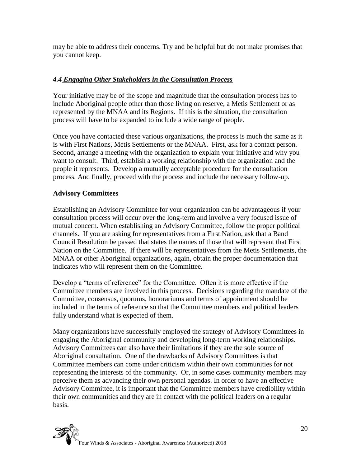may be able to address their concerns. Try and be helpful but do not make promises that you cannot keep.

## *4.4 Engaging Other Stakeholders in the Consultation Process*

Your initiative may be of the scope and magnitude that the consultation process has to include Aboriginal people other than those living on reserve, a Metis Settlement or as represented by the MNAA and its Regions. If this is the situation, the consultation process will have to be expanded to include a wide range of people.

Once you have contacted these various organizations, the process is much the same as it is with First Nations, Metis Settlements or the MNAA. First, ask for a contact person. Second, arrange a meeting with the organization to explain your initiative and why you want to consult. Third, establish a working relationship with the organization and the people it represents. Develop a mutually acceptable procedure for the consultation process. And finally, proceed with the process and include the necessary follow-up.

## **Advisory Committees**

Establishing an Advisory Committee for your organization can be advantageous if your consultation process will occur over the long-term and involve a very focused issue of mutual concern. When establishing an Advisory Committee, follow the proper political channels. If you are asking for representatives from a First Nation, ask that a Band Council Resolution be passed that states the names of those that will represent that First Nation on the Committee. If there will be representatives from the Metis Settlements, the MNAA or other Aboriginal organizations, again, obtain the proper documentation that indicates who will represent them on the Committee.

Develop a "terms of reference" for the Committee. Often it is more effective if the Committee members are involved in this process. Decisions regarding the mandate of the Committee, consensus, quorums, honorariums and terms of appointment should be included in the terms of reference so that the Committee members and political leaders fully understand what is expected of them.

Many organizations have successfully employed the strategy of Advisory Committees in engaging the Aboriginal community and developing long-term working relationships. Advisory Committees can also have their limitations if they are the sole source of Aboriginal consultation. One of the drawbacks of Advisory Committees is that Committee members can come under criticism within their own communities for not representing the interests of the community. Or, in some cases community members may perceive them as advancing their own personal agendas. In order to have an effective Advisory Committee, it is important that the Committee members have credibility within their own communities and they are in contact with the political leaders on a regular basis.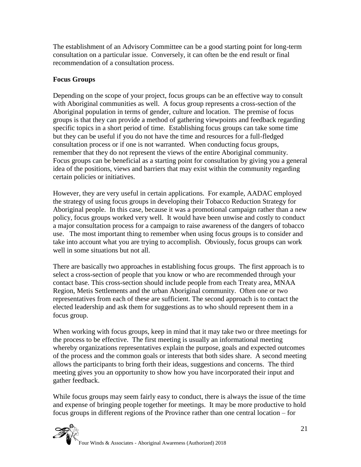The establishment of an Advisory Committee can be a good starting point for long-term consultation on a particular issue. Conversely, it can often be the end result or final recommendation of a consultation process.

#### **Focus Groups**

Depending on the scope of your project, focus groups can be an effective way to consult with Aboriginal communities as well. A focus group represents a cross-section of the Aboriginal population in terms of gender, culture and location. The premise of focus groups is that they can provide a method of gathering viewpoints and feedback regarding specific topics in a short period of time. Establishing focus groups can take some time but they can be useful if you do not have the time and resources for a full-fledged consultation process or if one is not warranted. When conducting focus groups, remember that they do not represent the views of the entire Aboriginal community. Focus groups can be beneficial as a starting point for consultation by giving you a general idea of the positions, views and barriers that may exist within the community regarding certain policies or initiatives.

However, they are very useful in certain applications. For example, AADAC employed the strategy of using focus groups in developing their Tobacco Reduction Strategy for Aboriginal people. In this case, because it was a promotional campaign rather than a new policy, focus groups worked very well. It would have been unwise and costly to conduct a major consultation process for a campaign to raise awareness of the dangers of tobacco use. The most important thing to remember when using focus groups is to consider and take into account what you are trying to accomplish. Obviously, focus groups can work well in some situations but not all.

There are basically two approaches in establishing focus groups. The first approach is to select a cross-section of people that you know or who are recommended through your contact base. This cross-section should include people from each Treaty area, MNAA Region, Metis Settlements and the urban Aboriginal community. Often one or two representatives from each of these are sufficient. The second approach is to contact the elected leadership and ask them for suggestions as to who should represent them in a focus group.

When working with focus groups, keep in mind that it may take two or three meetings for the process to be effective. The first meeting is usually an informational meeting whereby organizations representatives explain the purpose, goals and expected outcomes of the process and the common goals or interests that both sides share. A second meeting allows the participants to bring forth their ideas, suggestions and concerns. The third meeting gives you an opportunity to show how you have incorporated their input and gather feedback.

While focus groups may seem fairly easy to conduct, there is always the issue of the time and expense of bringing people together for meetings. It may be more productive to hold focus groups in different regions of the Province rather than one central location – for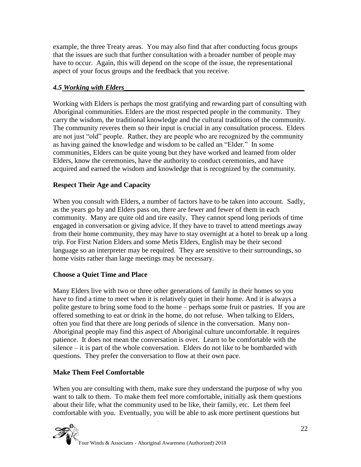example, the three Treaty areas. You may also find that after conducting focus groups that the issues are such that further consultation with a broader number of people may have to occur. Again, this will depend on the scope of the issue, the representational aspect of your focus groups and the feedback that you receive.

#### *4.5 Working with Elders\_\_\_\_\_\_\_\_\_\_\_\_\_\_\_\_\_\_\_\_\_\_\_\_\_\_\_\_\_\_\_\_\_\_\_\_\_\_\_\_\_\_\_\_\_\_\_\_\_\_\_*

Working with Elders is perhaps the most gratifying and rewarding part of consulting with Aboriginal communities. Elders are the most respected people in the community. They carry the wisdom, the traditional knowledge and the cultural traditions of the community. The community reveres them so their input is crucial in any consultation process. Elders are not just "old" people. Rather, they are people who are recognized by the community as having gained the knowledge and wisdom to be called an "Elder." In some communities, Elders can be quite young but they have worked and learned from older Elders, know the ceremonies, have the authority to conduct ceremonies, and have acquired and earned the wisdom and knowledge that is recognized by the community.

#### **Respect Their Age and Capacity**

When you consult with Elders, a number of factors have to be taken into account. Sadly, as the years go by and Elders pass on, there are fewer and fewer of them in each community. Many are quite old and tire easily. They cannot spend long periods of time engaged in conversation or giving advice. If they have to travel to attend meetings away from their home community, they may have to stay overnight at a hotel to break up a long trip. For First Nation Elders and some Metis Elders, English may be their second language so an interpreter may be required. They are sensitive to their surroundings, so home visits rather than large meetings may be necessary.

#### **Choose a Quiet Time and Place**

Many Elders live with two or three other generations of family in their homes so you have to find a time to meet when it is relatively quiet in their home. And it is always a polite gesture to bring some food to the home – perhaps some fruit or pastries. If you are offered something to eat or drink in the home, do not refuse. When talking to Elders, often you find that there are long periods of silence in the conversation. Many non-Aboriginal people may find this aspect of Aboriginal culture uncomfortable. It requires patience. It does not mean the conversation is over. Learn to be comfortable with the silence – it is part of the whole conversation. Elders do not like to be bombarded with questions. They prefer the conversation to flow at their own pace.

## **Make Them Feel Comfortable**

When you are consulting with them, make sure they understand the purpose of why you want to talk to them. To make them feel more comfortable, initially ask them questions about their life, what the community used to be like, their family, etc. Let them feel comfortable with you. Eventually, you will be able to ask more pertinent questions but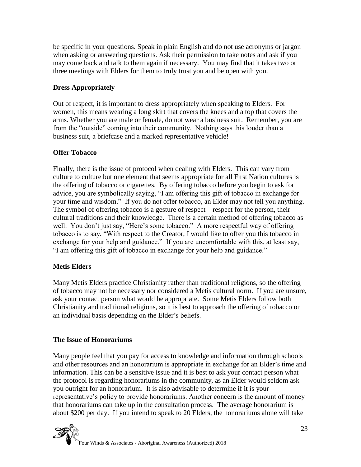be specific in your questions. Speak in plain English and do not use acronyms or jargon when asking or answering questions. Ask their permission to take notes and ask if you may come back and talk to them again if necessary. You may find that it takes two or three meetings with Elders for them to truly trust you and be open with you.

### **Dress Appropriately**

Out of respect, it is important to dress appropriately when speaking to Elders. For women, this means wearing a long skirt that covers the knees and a top that covers the arms. Whether you are male or female, do not wear a business suit. Remember, you are from the "outside" coming into their community. Nothing says this louder than a business suit, a briefcase and a marked representative vehicle!

## **Offer Tobacco**

Finally, there is the issue of protocol when dealing with Elders. This can vary from culture to culture but one element that seems appropriate for all First Nation cultures is the offering of tobacco or cigarettes. By offering tobacco before you begin to ask for advice, you are symbolically saying, "I am offering this gift of tobacco in exchange for your time and wisdom." If you do not offer tobacco, an Elder may not tell you anything. The symbol of offering tobacco is a gesture of respect – respect for the person, their cultural traditions and their knowledge. There is a certain method of offering tobacco as well. You don't just say, "Here's some tobacco." A more respectful way of offering tobacco is to say, "With respect to the Creator, I would like to offer you this tobacco in exchange for your help and guidance." If you are uncomfortable with this, at least say, "I am offering this gift of tobacco in exchange for your help and guidance."

#### **Metis Elders**

Many Metis Elders practice Christianity rather than traditional religions, so the offering of tobacco may not be necessary nor considered a Metis cultural norm. If you are unsure, ask your contact person what would be appropriate. Some Metis Elders follow both Christianity and traditional religions, so it is best to approach the offering of tobacco on an individual basis depending on the Elder's beliefs.

#### **The Issue of Honorariums**

Many people feel that you pay for access to knowledge and information through schools and other resources and an honorarium is appropriate in exchange for an Elder's time and information. This can be a sensitive issue and it is best to ask your contact person what the protocol is regarding honorariums in the community, as an Elder would seldom ask you outright for an honorarium. It is also advisable to determine if it is your representative's policy to provide honorariums. Another concern is the amount of money that honorariums can take up in the consultation process. The average honorarium is about \$200 per day. If you intend to speak to 20 Elders, the honorariums alone will take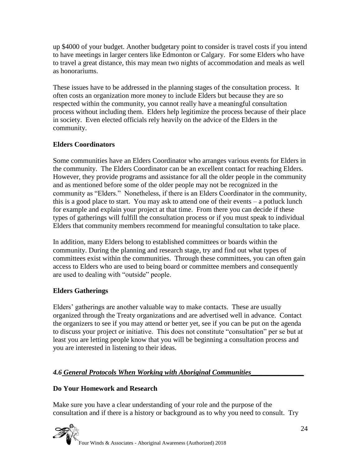up \$4000 of your budget. Another budgetary point to consider is travel costs if you intend to have meetings in larger centers like Edmonton or Calgary. For some Elders who have to travel a great distance, this may mean two nights of accommodation and meals as well as honorariums.

These issues have to be addressed in the planning stages of the consultation process. It often costs an organization more money to include Elders but because they are so respected within the community, you cannot really have a meaningful consultation process without including them. Elders help legitimize the process because of their place in society. Even elected officials rely heavily on the advice of the Elders in the community.

## **Elders Coordinators**

Some communities have an Elders Coordinator who arranges various events for Elders in the community. The Elders Coordinator can be an excellent contact for reaching Elders. However, they provide programs and assistance for all the older people in the community and as mentioned before some of the older people may not be recognized in the community as "Elders." Nonetheless, if there is an Elders Coordinator in the community, this is a good place to start. You may ask to attend one of their events – a potluck lunch for example and explain your project at that time. From there you can decide if these types of gatherings will fulfill the consultation process or if you must speak to individual Elders that community members recommend for meaningful consultation to take place.

In addition, many Elders belong to established committees or boards within the community. During the planning and research stage, try and find out what types of committees exist within the communities. Through these committees, you can often gain access to Elders who are used to being board or committee members and consequently are used to dealing with "outside" people.

## **Elders Gatherings**

Elders' gatherings are another valuable way to make contacts. These are usually organized through the Treaty organizations and are advertised well in advance. Contact the organizers to see if you may attend or better yet, see if you can be put on the agenda to discuss your project or initiative. This does not constitute "consultation" per se but at least you are letting people know that you will be beginning a consultation process and you are interested in listening to their ideas.

## *4.6 General Protocols When Working with Aboriginal Communities\_\_\_\_\_\_\_\_\_\_\_\_\_\_\_*

## **Do Your Homework and Research**

Make sure you have a clear understanding of your role and the purpose of the consultation and if there is a history or background as to why you need to consult. Try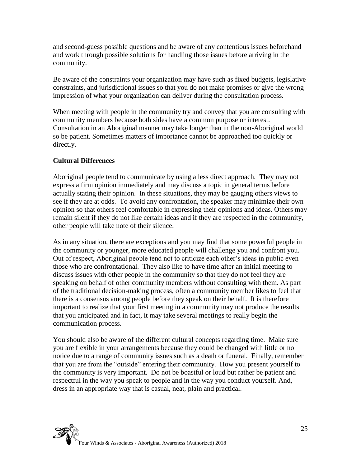and second-guess possible questions and be aware of any contentious issues beforehand and work through possible solutions for handling those issues before arriving in the community.

Be aware of the constraints your organization may have such as fixed budgets, legislative constraints, and jurisdictional issues so that you do not make promises or give the wrong impression of what your organization can deliver during the consultation process.

When meeting with people in the community try and convey that you are consulting with community members because both sides have a common purpose or interest. Consultation in an Aboriginal manner may take longer than in the non-Aboriginal world so be patient. Sometimes matters of importance cannot be approached too quickly or directly.

#### **Cultural Differences**

Aboriginal people tend to communicate by using a less direct approach. They may not express a firm opinion immediately and may discuss a topic in general terms before actually stating their opinion. In these situations, they may be gauging others views to see if they are at odds. To avoid any confrontation, the speaker may minimize their own opinion so that others feel comfortable in expressing their opinions and ideas. Others may remain silent if they do not like certain ideas and if they are respected in the community, other people will take note of their silence.

As in any situation, there are exceptions and you may find that some powerful people in the community or younger, more educated people will challenge you and confront you. Out of respect, Aboriginal people tend not to criticize each other's ideas in public even those who are confrontational. They also like to have time after an initial meeting to discuss issues with other people in the community so that they do not feel they are speaking on behalf of other community members without consulting with them. As part of the traditional decision-making process, often a community member likes to feel that there is a consensus among people before they speak on their behalf. It is therefore important to realize that your first meeting in a community may not produce the results that you anticipated and in fact, it may take several meetings to really begin the communication process.

You should also be aware of the different cultural concepts regarding time. Make sure you are flexible in your arrangements because they could be changed with little or no notice due to a range of community issues such as a death or funeral. Finally, remember that you are from the "outside" entering their community. How you present yourself to the community is very important. Do not be boastful or loud but rather be patient and respectful in the way you speak to people and in the way you conduct yourself. And, dress in an appropriate way that is casual, neat, plain and practical.

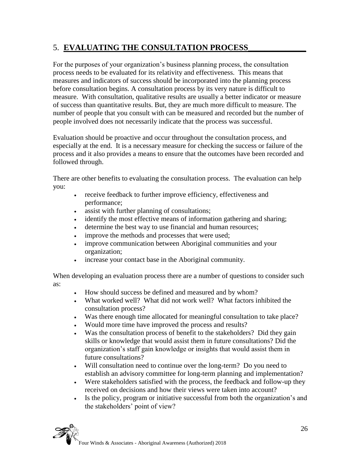# 5. **EVALUATING THE CONSULTATION PROCESS\_\_\_\_\_\_\_\_\_\_\_\_\_\_**

For the purposes of your organization's business planning process, the consultation process needs to be evaluated for its relativity and effectiveness. This means that measures and indicators of success should be incorporated into the planning process before consultation begins. A consultation process by its very nature is difficult to measure. With consultation, qualitative results are usually a better indicator or measure of success than quantitative results. But, they are much more difficult to measure. The number of people that you consult with can be measured and recorded but the number of people involved does not necessarily indicate that the process was successful.

Evaluation should be proactive and occur throughout the consultation process, and especially at the end. It is a necessary measure for checking the success or failure of the process and it also provides a means to ensure that the outcomes have been recorded and followed through.

There are other benefits to evaluating the consultation process. The evaluation can help you:

- receive feedback to further improve efficiency, effectiveness and performance;
- assist with further planning of consultations;
- identify the most effective means of information gathering and sharing;
- determine the best way to use financial and human resources;
- improve the methods and processes that were used;
- improve communication between Aboriginal communities and your organization;
- increase your contact base in the Aboriginal community.

When developing an evaluation process there are a number of questions to consider such as:

- How should success be defined and measured and by whom?
- What worked well? What did not work well? What factors inhibited the consultation process?
- Was there enough time allocated for meaningful consultation to take place?
- Would more time have improved the process and results?
- Was the consultation process of benefit to the stakeholders? Did they gain skills or knowledge that would assist them in future consultations? Did the organization's staff gain knowledge or insights that would assist them in future consultations?
- Will consultation need to continue over the long-term? Do you need to establish an advisory committee for long-term planning and implementation?
- Were stakeholders satisfied with the process, the feedback and follow-up they received on decisions and how their views were taken into account?
- Is the policy, program or initiative successful from both the organization's and the stakeholders' point of view?

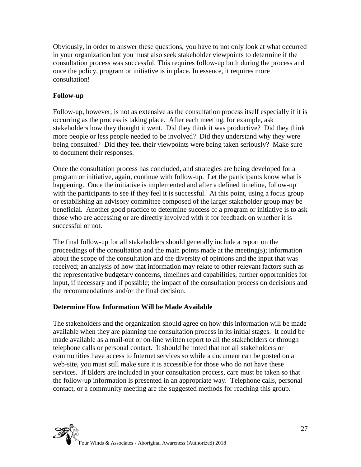Obviously, in order to answer these questions, you have to not only look at what occurred in your organization but you must also seek stakeholder viewpoints to determine if the consultation process was successful. This requires follow-up both during the process and once the policy, program or initiative is in place. In essence, it requires more consultation!

#### **Follow-up**

Follow-up, however, is not as extensive as the consultation process itself especially if it is occurring as the process is taking place. After each meeting, for example, ask stakeholders how they thought it went. Did they think it was productive? Did they think more people or less people needed to be involved? Did they understand why they were being consulted? Did they feel their viewpoints were being taken seriously? Make sure to document their responses.

Once the consultation process has concluded, and strategies are being developed for a program or initiative, again, continue with follow-up. Let the participants know what is happening. Once the initiative is implemented and after a defined timeline, follow-up with the participants to see if they feel it is successful. At this point, using a focus group or establishing an advisory committee composed of the larger stakeholder group may be beneficial. Another good practice to determine success of a program or initiative is to ask those who are accessing or are directly involved with it for feedback on whether it is successful or not.

The final follow-up for all stakeholders should generally include a report on the proceedings of the consultation and the main points made at the meeting(s); information about the scope of the consultation and the diversity of opinions and the input that was received; an analysis of how that information may relate to other relevant factors such as the representative budgetary concerns, timelines and capabilities, further opportunities for input, if necessary and if possible; the impact of the consultation process on decisions and the recommendations and/or the final decision.

#### **Determine How Information Will be Made Available**

The stakeholders and the organization should agree on how this information will be made available when they are planning the consultation process in its initial stages. It could be made available as a mail-out or on-line written report to all the stakeholders or through telephone calls or personal contact. It should be noted that not all stakeholders or communities have access to Internet services so while a document can be posted on a web-site, you must still make sure it is accessible for those who do not have these services. If Elders are included in your consultation process, care must be taken so that the follow-up information is presented in an appropriate way. Telephone calls, personal contact, or a community meeting are the suggested methods for reaching this group.

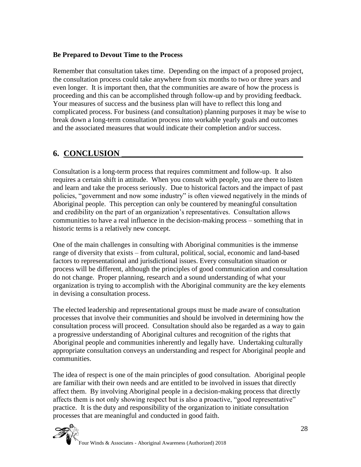#### **Be Prepared to Devout Time to the Process**

Remember that consultation takes time. Depending on the impact of a proposed project, the consultation process could take anywhere from six months to two or three years and even longer. It is important then, that the communities are aware of how the process is proceeding and this can be accomplished through follow-up and by providing feedback. Your measures of success and the business plan will have to reflect this long and complicated process. For business (and consultation) planning purposes it may be wise to break down a long-term consultation process into workable yearly goals and outcomes and the associated measures that would indicate their completion and/or success.

# **6. CONCLUSION \_\_\_\_\_\_\_\_\_\_\_\_\_\_\_\_\_\_\_\_\_\_\_\_\_\_\_\_\_\_\_\_\_\_\_\_\_\_\_\_\_\_\_\_**

Consultation is a long-term process that requires commitment and follow-up. It also requires a certain shift in attitude. When you consult with people, you are there to listen and learn and take the process seriously. Due to historical factors and the impact of past policies, "government and now some industry" is often viewed negatively in the minds of Aboriginal people. This perception can only be countered by meaningful consultation and credibility on the part of an organization's representatives. Consultation allows communities to have a real influence in the decision-making process – something that in historic terms is a relatively new concept.

One of the main challenges in consulting with Aboriginal communities is the immense range of diversity that exists – from cultural, political, social, economic and land-based factors to representational and jurisdictional issues. Every consultation situation or process will be different, although the principles of good communication and consultation do not change. Proper planning, research and a sound understanding of what your organization is trying to accomplish with the Aboriginal community are the key elements in devising a consultation process.

The elected leadership and representational groups must be made aware of consultation processes that involve their communities and should be involved in determining how the consultation process will proceed. Consultation should also be regarded as a way to gain a progressive understanding of Aboriginal cultures and recognition of the rights that Aboriginal people and communities inherently and legally have. Undertaking culturally appropriate consultation conveys an understanding and respect for Aboriginal people and communities.

The idea of respect is one of the main principles of good consultation. Aboriginal people are familiar with their own needs and are entitled to be involved in issues that directly affect them. By involving Aboriginal people in a decision-making process that directly affects them is not only showing respect but is also a proactive, "good representative" practice. It is the duty and responsibility of the organization to initiate consultation processes that are meaningful and conducted in good faith.